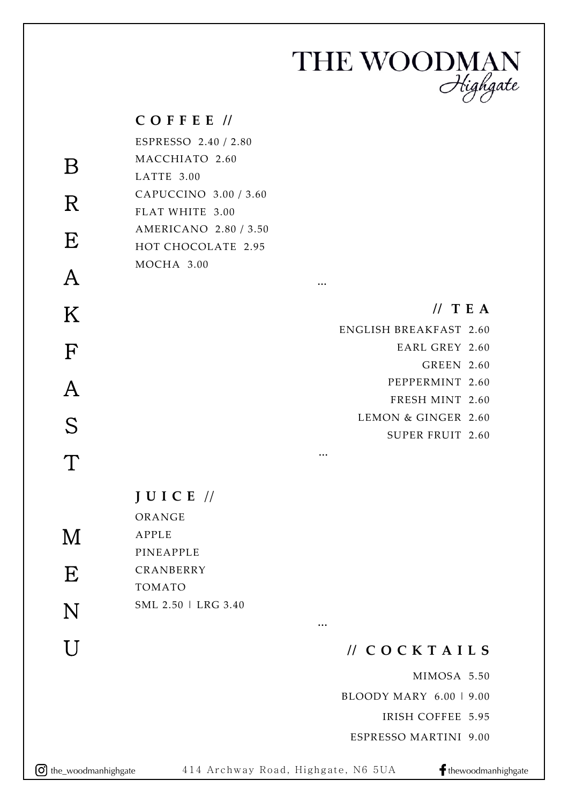## THE WOODMAN<br>Highgate

|                   | $C$ OFFEE $\prime\prime$ |           |                               |
|-------------------|--------------------------|-----------|-------------------------------|
|                   | ESPRESSO 2.40 / 2.80     |           |                               |
| $\boldsymbol{B}$  | MACCHIATO 2.60           |           |                               |
|                   | LATTE 3.00               |           |                               |
| $\mathbf R$       | CAPUCCINO 3.00 / 3.60    |           |                               |
|                   | FLAT WHITE 3.00          |           |                               |
| E                 | AMERICANO 2.80 / 3.50    |           |                               |
|                   | HOT CHOCOLATE 2.95       |           |                               |
|                   | MOCHA 3.00               |           |                               |
| $\bm{\mathsf{A}}$ |                          | $\cdots$  |                               |
| K                 |                          |           | $//$ TEA                      |
|                   |                          |           | <b>ENGLISH BREAKFAST 2.60</b> |
| $\mathbf F$       |                          |           | <b>EARL GREY 2.60</b>         |
|                   |                          |           | <b>GREEN 2.60</b>             |
|                   |                          |           | PEPPERMINT 2.60               |
| A                 |                          |           | FRESH MINT 2.60               |
|                   |                          |           | LEMON & GINGER 2.60           |
| S                 |                          |           | <b>SUPER FRUIT 2.60</b>       |
| T                 |                          | $\ddotsc$ |                               |
|                   |                          |           |                               |
|                   | $JUICE$ //               |           |                               |
|                   | ORANGE                   |           |                               |
|                   | APPLE                    |           |                               |
| M                 | PINEAPPLE                |           |                               |
|                   | CRANBERRY                |           |                               |
| E                 | TOMATO                   |           |                               |
|                   | SML 2.50   LRG 3.40      |           |                               |
| N                 |                          | $\cdots$  |                               |
| U                 |                          |           |                               |
|                   |                          |           | $\textit{//}$ COCKTAILS       |
|                   |                          |           | MIMOSA 5.50                   |
|                   |                          |           |                               |

BLOODY MARY 6.00 | 9.00

IRISH COFFEE 5.95

ESPRESSO MARTINI 9.00

 $\bigodot$  the\_woodmanhighgate 414 Archway Road, Highgate, N6 5UA fthewoodmanhighgate